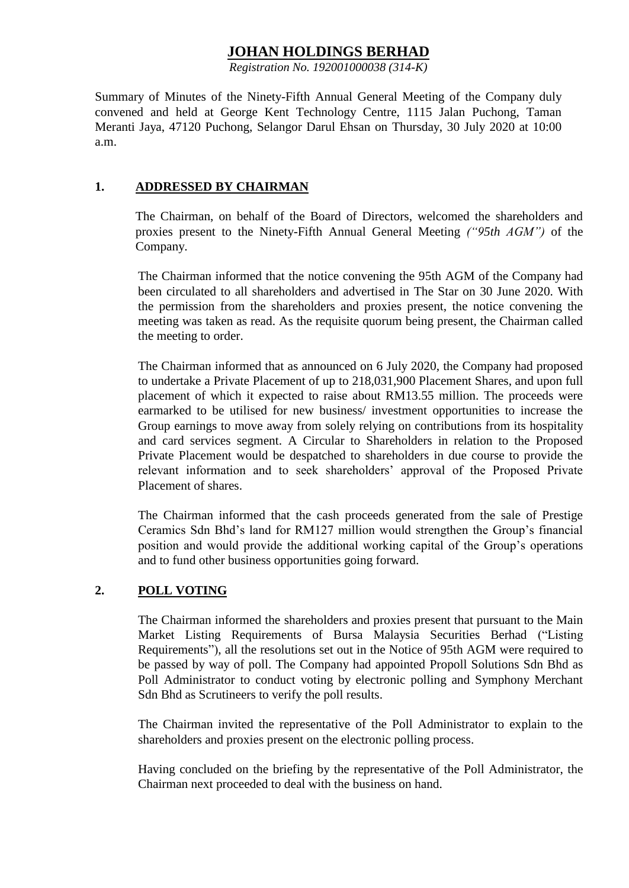# **JOHAN HOLDINGS BERHAD**

*Registration No. 192001000038 (314-K)*

Summary of Minutes of the Ninety-Fifth Annual General Meeting of the Company duly convened and held at George Kent Technology Centre, 1115 Jalan Puchong, Taman Meranti Jaya, 47120 Puchong, Selangor Darul Ehsan on Thursday, 30 July 2020 at 10:00 a.m.

#### **1. ADDRESSED BY CHAIRMAN**

The Chairman, on behalf of the Board of Directors, welcomed the shareholders and proxies present to the Ninety-Fifth Annual General Meeting *("95th AGM")* of the Company.

The Chairman informed that the notice convening the 95th AGM of the Company had been circulated to all shareholders and advertised in The Star on 30 June 2020. With the permission from the shareholders and proxies present, the notice convening the meeting was taken as read. As the requisite quorum being present, the Chairman called the meeting to order.

The Chairman informed that as announced on 6 July 2020, the Company had proposed to undertake a Private Placement of up to 218,031,900 Placement Shares, and upon full placement of which it expected to raise about RM13.55 million. The proceeds were earmarked to be utilised for new business/ investment opportunities to increase the Group earnings to move away from solely relying on contributions from its hospitality and card services segment. A Circular to Shareholders in relation to the Proposed Private Placement would be despatched to shareholders in due course to provide the relevant information and to seek shareholders' approval of the Proposed Private Placement of shares.

The Chairman informed that the cash proceeds generated from the sale of Prestige Ceramics Sdn Bhd's land for RM127 million would strengthen the Group's financial position and would provide the additional working capital of the Group's operations and to fund other business opportunities going forward.

### **2. POLL VOTING**

The Chairman informed the shareholders and proxies present that pursuant to the Main Market Listing Requirements of Bursa Malaysia Securities Berhad ("Listing Requirements"), all the resolutions set out in the Notice of 95th AGM were required to be passed by way of poll. The Company had appointed Propoll Solutions Sdn Bhd as Poll Administrator to conduct voting by electronic polling and Symphony Merchant Sdn Bhd as Scrutineers to verify the poll results.

The Chairman invited the representative of the Poll Administrator to explain to the shareholders and proxies present on the electronic polling process.

Having concluded on the briefing by the representative of the Poll Administrator, the Chairman next proceeded to deal with the business on hand.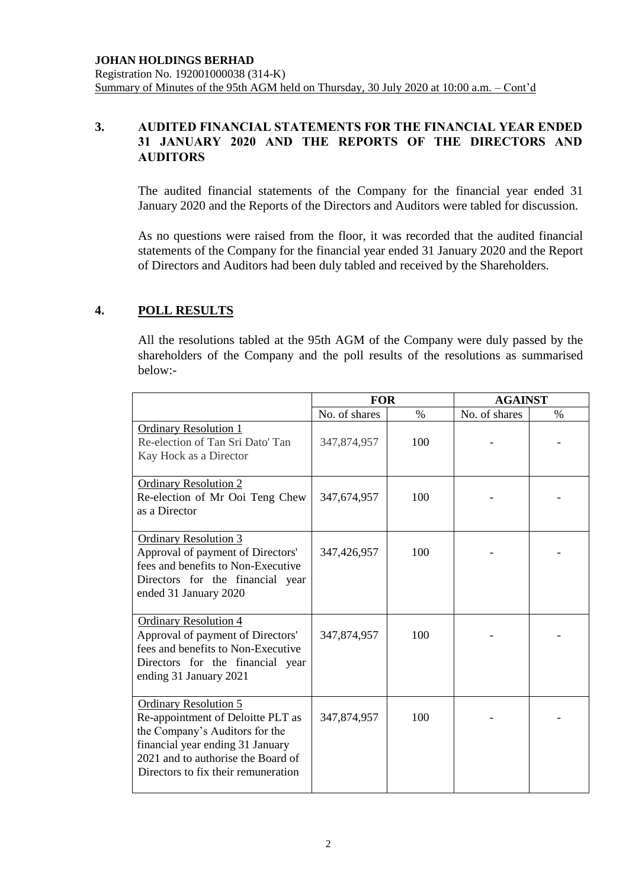### **3. AUDITED FINANCIAL STATEMENTS FOR THE FINANCIAL YEAR ENDED 31 JANUARY 2020 AND THE REPORTS OF THE DIRECTORS AND AUDITORS**

The audited financial statements of the Company for the financial year ended 31 January 2020 and the Reports of the Directors and Auditors were tabled for discussion.

As no questions were raised from the floor, it was recorded that the audited financial statements of the Company for the financial year ended 31 January 2020 and the Report of Directors and Auditors had been duly tabled and received by the Shareholders.

### **4. POLL RESULTS**

All the resolutions tabled at the 95th AGM of the Company were duly passed by the shareholders of the Company and the poll results of the resolutions as summarised below:-

|                                                                                                                                                                                                                      | <b>FOR</b>    |      | <b>AGAINST</b> |      |
|----------------------------------------------------------------------------------------------------------------------------------------------------------------------------------------------------------------------|---------------|------|----------------|------|
|                                                                                                                                                                                                                      | No. of shares | $\%$ | No. of shares  | $\%$ |
| <b>Ordinary Resolution 1</b><br>Re-election of Tan Sri Dato' Tan<br>Kay Hock as a Director                                                                                                                           | 347,874,957   | 100  |                |      |
| <b>Ordinary Resolution 2</b><br>Re-election of Mr Ooi Teng Chew<br>as a Director                                                                                                                                     | 347,674,957   | 100  |                |      |
| <b>Ordinary Resolution 3</b><br>Approval of payment of Directors'<br>fees and benefits to Non-Executive<br>Directors for the financial year<br>ended 31 January 2020                                                 | 347,426,957   | 100  |                |      |
| <b>Ordinary Resolution 4</b><br>Approval of payment of Directors'<br>fees and benefits to Non-Executive<br>Directors for the financial year<br>ending 31 January 2021                                                | 347,874,957   | 100  |                |      |
| <b>Ordinary Resolution 5</b><br>Re-appointment of Deloitte PLT as<br>the Company's Auditors for the<br>financial year ending 31 January<br>2021 and to authorise the Board of<br>Directors to fix their remuneration | 347,874,957   | 100  |                |      |